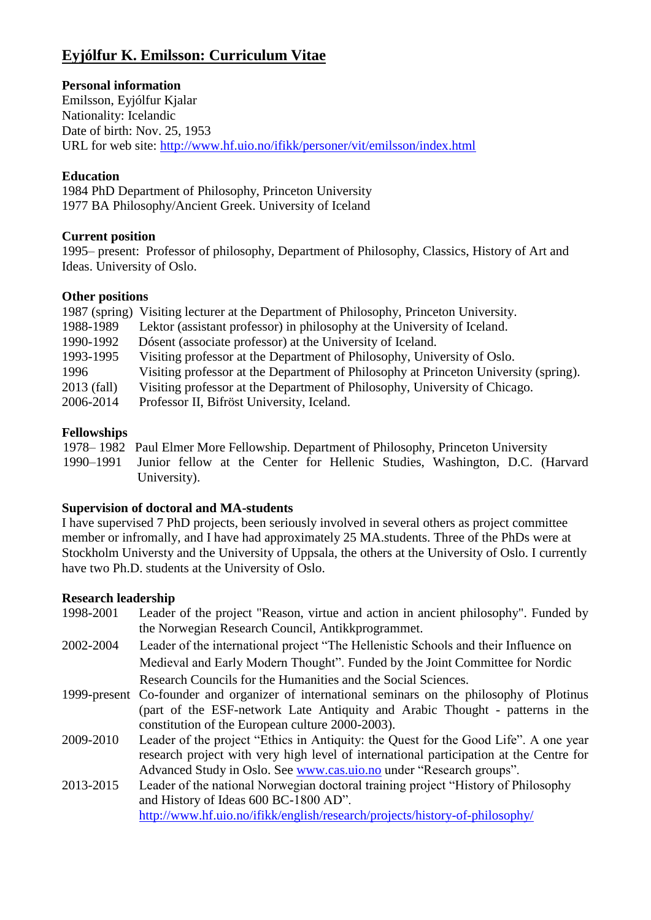# **Eyjólfur K. Emilsson: Curriculum Vitae**

## **Personal information**

Emilsson, Eyjólfur Kjalar Nationality: Icelandic Date of birth: Nov. 25, 1953 URL for web site:<http://www.hf.uio.no/ifikk/personer/vit/emilsson/index.html>

### **Education**

1984 PhD Department of Philosophy, Princeton University 1977 BA Philosophy/Ancient Greek. University of Iceland

## **Current position**

1995– present: Professor of philosophy, Department of Philosophy, Classics, History of Art and Ideas. University of Oslo.

## **Other positions**

|             | 1987 (spring) Visiting lecturer at the Department of Philosophy, Princeton University. |
|-------------|----------------------------------------------------------------------------------------|
| 1988-1989   | Lektor (assistant professor) in philosophy at the University of Iceland.               |
| 1990-1992   | Dósent (associate professor) at the University of Iceland.                             |
| 1993-1995   | Visiting professor at the Department of Philosophy, University of Oslo.                |
| 1996        | Visiting professor at the Department of Philosophy at Princeton University (spring).   |
| 2013 (fall) | Visiting professor at the Department of Philosophy, University of Chicago.             |
| 2006-2014   | Professor II, Bifröst University, Iceland.                                             |

## **Fellowships**

1978– 1982 Paul Elmer More Fellowship. Department of Philosophy, Princeton University 1990–1991 Junior fellow at the Center for Hellenic Studies, Washington, D.C. (Harvard University).

### **Supervision of doctoral and MA-students**

I have supervised 7 PhD projects, been seriously involved in several others as project committee member or infromally, and I have had approximately 25 MA.students. Three of the PhDs were at Stockholm Universty and the University of Uppsala, the others at the University of Oslo. I currently have two Ph.D. students at the University of Oslo.

### **Research leadership**

- 1998-2001 Leader of the project "Reason, virtue and action in ancient philosophy". Funded by the Norwegian Research Council, Antikkprogrammet.
- 2002-2004 Leader of the international project "The Hellenistic Schools and their Influence on Medieval and Early Modern Thought". Funded by the Joint Committee for Nordic Research Councils for the Humanities and the Social Sciences.
- 1999-present Co-founder and organizer of international seminars on the philosophy of Plotinus (part of the ESF-network Late Antiquity and Arabic Thought - patterns in the constitution of the European culture 2000-2003).
- 2009-2010 Leader of the project "Ethics in Antiquity: the Quest for the Good Life". A one year research project with very high level of international participation at the Centre for Advanced Study in Oslo. See [www.cas.uio.no](http://www.cas.uio.no/) under "Research groups".
- 2013-2015 Leader of the national Norwegian doctoral training project "History of Philosophy and History of Ideas 600 BC-1800 AD". <http://www.hf.uio.no/ifikk/english/research/projects/history-of-philosophy/>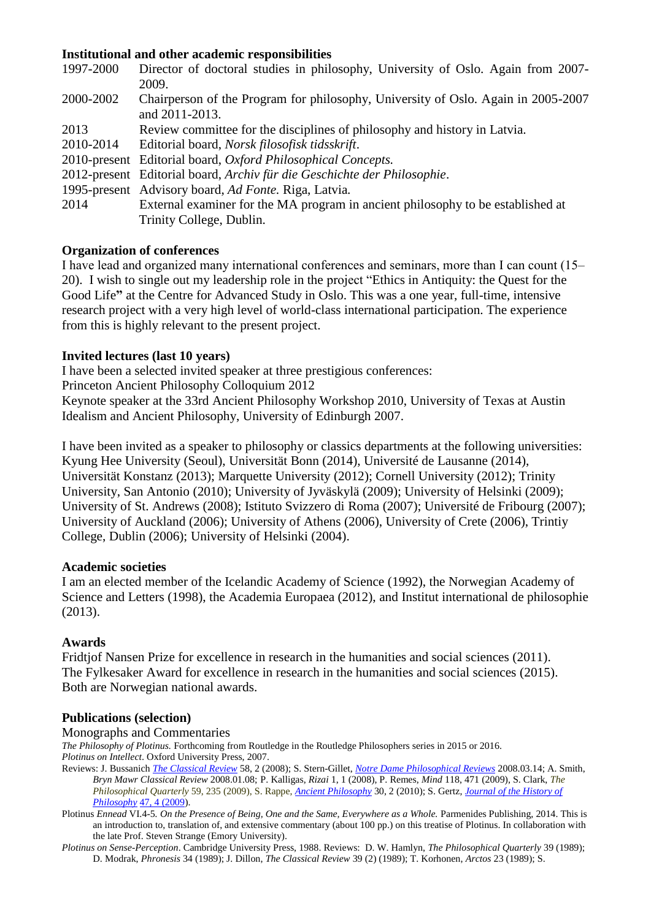### **Institutional and other academic responsibilities**

| 1997-2000 | Director of doctoral studies in philosophy, University of Oslo. Again from 2007-  |
|-----------|-----------------------------------------------------------------------------------|
|           | 2009.                                                                             |
| 2000-2002 | Chairperson of the Program for philosophy, University of Oslo. Again in 2005-2007 |
|           | and 2011-2013.                                                                    |
| 2013      | Review committee for the disciplines of philosophy and history in Latvia.         |
| 2010-2014 | Editorial board, Norsk filosofisk tidsskrift.                                     |
|           | 2010-present Editorial board, Oxford Philosophical Concepts.                      |
|           | 2012-present Editorial board, Archiv für die Geschichte der Philosophie.          |
|           | 1995-present Advisory board, Ad Fonte. Riga, Latvia.                              |
| 2014      | External examiner for the MA program in ancient philosophy to be established at   |
|           | Trinity College, Dublin.                                                          |

### **Organization of conferences**

I have lead and organized many international conferences and seminars, more than I can count (15– 20). I wish to single out my leadership role in the project "Ethics in Antiquity: the Quest for the Good Life**"** at the Centre for Advanced Study in Oslo. This was a one year, full-time, intensive research project with a very high level of world-class international participation. The experience from this is highly relevant to the present project.

#### **Invited lectures (last 10 years)**

I have been a selected invited speaker at three prestigious conferences:

Princeton Ancient Philosophy Colloquium 2012

Keynote speaker at the 33rd Ancient Philosophy Workshop 2010, University of Texas at Austin Idealism and Ancient Philosophy, University of Edinburgh 2007.

I have been invited as a speaker to philosophy or classics departments at the following universities: Kyung Hee University (Seoul), Universität Bonn (2014), Université de Lausanne (2014), Universität Konstanz (2013); Marquette University (2012); Cornell University (2012); Trinity University, San Antonio (2010); University of Jyväskylä (2009); University of Helsinki (2009); University of St. Andrews (2008); Istituto Svizzero di Roma (2007); Université de Fribourg (2007); University of Auckland (2006); University of Athens (2006), University of Crete (2006), Trintiy College, Dublin (2006); University of Helsinki (2004).

#### **Academic societies**

I am an elected member of the Icelandic Academy of Science (1992), the Norwegian Academy of Science and Letters (1998), the Academia Europaea (2012), and Institut international de philosophie (2013).

#### **Awards**

Fridtjof Nansen Prize for excellence in research in the humanities and social sciences (2011). The Fylkesaker Award for excellence in research in the humanities and social sciences (2015). Both are Norwegian national awards.

### **Publications (selection)**

Monographs and Commentaries

*The Philosophy of Plotinus.* Forthcoming from Routledge in the Routledge Philosophers series in 2015 or 2016. *Plotinus on Intellect*. Oxford University Press, 2007.

- Reviews: [J. Bussanich](http://philpapers.org/s/John%20Bussanich) *[The Classical Review](http://philpapers.org/asearch.pl?pubn=The%20Classical%20Review)* 58, 2 (2008)[; S. Stern-Gillet,](http://philpapers.org/s/Suzanne%20Stern-Gillet) *[Notre Dame Philosophical Reviews](http://philpapers.org/asearch.pl?pubn=Notre%20Dame%20Philosophical%20Reviews)* 2008.03.14; A. Smith, *Bryn Mawr Classical Review* 2008.01.08; P. Kalligas, *Rizai* 1, 1 (2008), P. Remes, *Mind* 118, 471 (2009), S. Clark, *The Philosophical Quarterly* 59, 235 (2009), S. Rappe, *[Ancient Philosophy](http://www.pdcnet.org/collection-anonymous/browse?fp=ancientphil)* 30, 2 (2010); S. Gertz, *[Journal of the History of](http://muse.jhu.edu/journals/journal_of_the_history_of_philosophy)  [Philosophy](http://muse.jhu.edu/journals/journal_of_the_history_of_philosophy)* [47, 4 \(2009\)](http://muse.jhu.edu/journals/journal_of_the_history_of_philosophy/toc/hph.47.4.html).
- Plotinus *Ennead* VI.4-5*. On the Presence of Being, One and the Same, Everywhere as a Whole.* Parmenides Publishing, 2014. This is an introduction to, translation of, and extensive commentary (about 100 pp.) on this treatise of Plotinus. In collaboration with the late Prof. Steven Strange (Emory University).
- *Plotinus on Sense-Perception*. Cambridge University Press, 1988. Reviews: D. W. Hamlyn, *The Philosophical Quarterly* 39 (1989); D. Modrak, *Phronesis* 34 (1989); J. Dillon, *The Classical Review* 39 (2) (1989); T. Korhonen, *Arctos* 23 (1989); S.